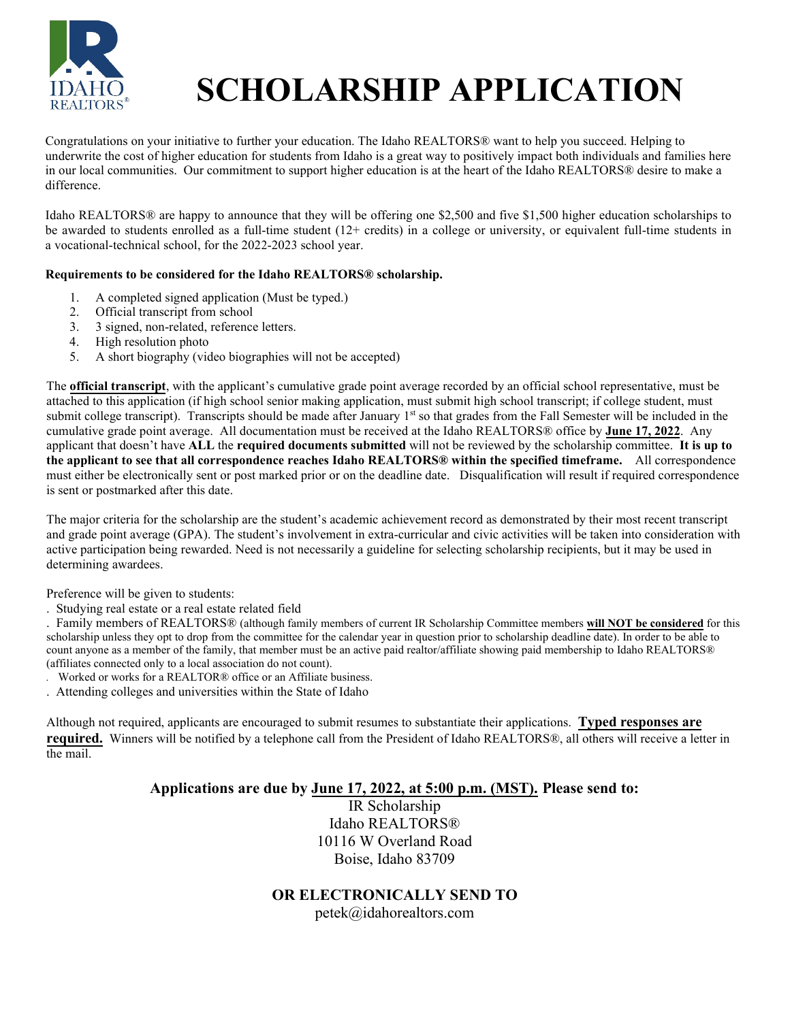

# **SCHOLARSHIP APPLICATION**

Congratulations on your initiative to further your education. The Idaho REALTORS® want to help you succeed. Helping to underwrite the cost of higher education for students from Idaho is a great way to positively impact both individuals and families here in our local communities. Our commitment to support higher education is at the heart of the Idaho REALTORS® desire to make a difference.

Idaho REALTORS® are happy to announce that they will be offering one \$2,500 and five \$1,500 higher education scholarships to be awarded to students enrolled as a full-time student (12+ credits) in a college or university, or equivalent full-time students in a vocational-technical school, for the 2022-2023 school year.

#### **Requirements to be considered for the Idaho REALTORS® scholarship.**

- 1. A completed signed application (Must be typed.)
- 2. Official transcript from school
- 3. 3 signed, non-related, reference letters.
- 4. High resolution photo
- 5. A short biography (video biographies will not be accepted)

The **official transcript**, with the applicant's cumulative grade point average recorded by an official school representative, must be attached to this application (if high school senior making application, must submit high school transcript; if college student, must submit college transcript). Transcripts should be made after January 1st so that grades from the Fall Semester will be included in the cumulative grade point average. All documentation must be received at the Idaho REALTORS® office by **June 1**7**, 202**2. Any applicant that doesn't have **ALL** the **required documents submitted** will not be reviewed by the scholarship committee. **It is up to the applicant to see that all correspondence reaches Idaho REALTORS® within the specified timeframe.** All correspondence must either be electronically sent or post marked prior or on the deadline date. Disqualification will result if required correspondence is sent or postmarked after this date.

The major criteria for the scholarship are the student's academic achievement record as demonstrated by their most recent transcript and grade point average (GPA). The student's involvement in extra-curricular and civic activities will be taken into consideration with active participation being rewarded. Need is not necessarily a guideline for selecting scholarship recipients, but it may be used in determining awardees.

Preference will be given to students:

. Studying real estate or a real estate related field

. Family members of REALTORS® (although family members of current IR Scholarship Committee members **will NOT be considered** for this scholarship unless they opt to drop from the committee for the calendar year in question prior to scholarship deadline date). In order to be able to count anyone as a member of the family, that member must be an active paid realtor/affiliate showing paid membership to Idaho REALTORS® (affiliates connected only to a local association do not count).

- Worked or works for a REALTOR® office or an Affiliate business.
- . Attending colleges and universities within the State of Idaho

Although not required, applicants are encouraged to submit resumes to substantiate their applications. **Typed responses are required.** Winners will be notified by a telephone call from the President of Idaho REALTORS®, all others will receive a letter in the mail.

# **Applications are due by June 1**7**, 202**2**, at 5:00 p.m. (MST). Please send to:**

IR Scholarship Idaho REALTORS® 10116 W Overland Road Boise, Idaho 83709

#### **OR ELECTRONICALLY SEND TO**

petek@idahorealtors.com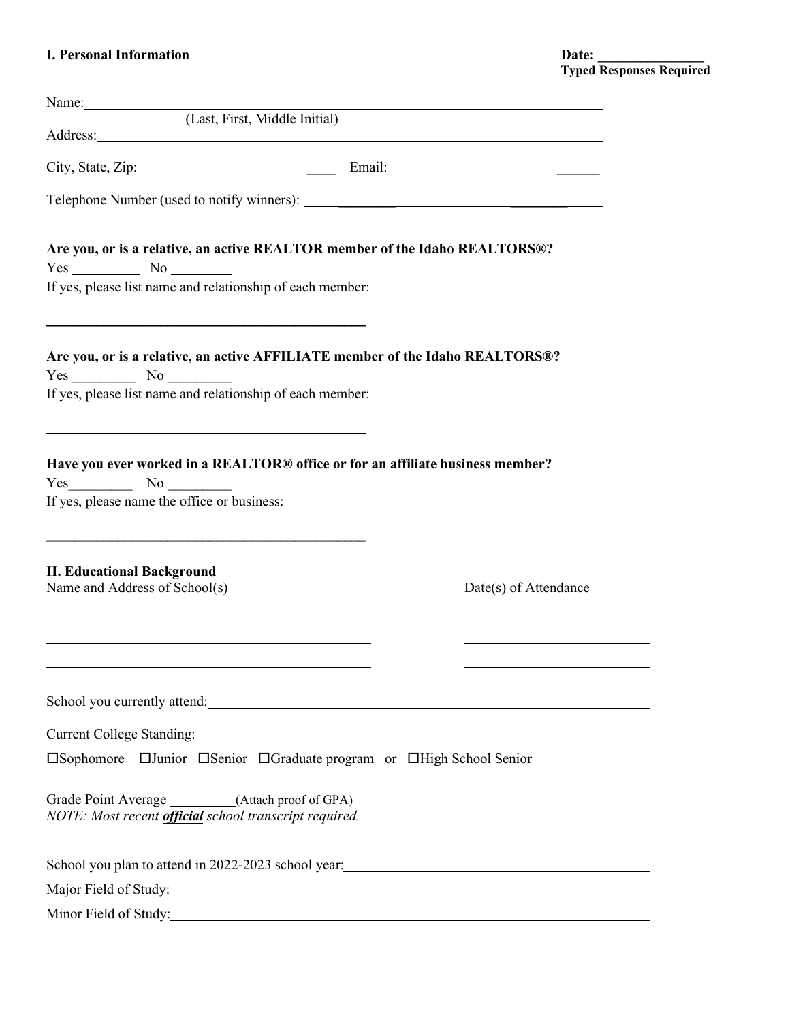| (Last, First, Middle Initial)<br>Address: National Address: National Address: National Address: National Address: National Address: National Address: National Address: National Address: National Address: National Address: National Address: National Addres |                       |
|-----------------------------------------------------------------------------------------------------------------------------------------------------------------------------------------------------------------------------------------------------------------|-----------------------|
|                                                                                                                                                                                                                                                                 |                       |
|                                                                                                                                                                                                                                                                 |                       |
| Are you, or is a relative, an active REALTOR member of the Idaho REALTORS®?<br>$Yes$ No $\qquad$                                                                                                                                                                |                       |
| If yes, please list name and relationship of each member:                                                                                                                                                                                                       |                       |
| Are you, or is a relative, an active AFFILIATE member of the Idaho REALTORS®?<br>If yes, please list name and relationship of each member:                                                                                                                      |                       |
| Have you ever worked in a REALTOR® office or for an affiliate business member?<br>$Yes$ No $\qquad$<br>If yes, please name the office or business:                                                                                                              |                       |
| <b>II. Educational Background</b><br>Name and Address of School(s)                                                                                                                                                                                              | Date(s) of Attendance |
| School you currently attend:                                                                                                                                                                                                                                    |                       |
| <b>Current College Standing:</b>                                                                                                                                                                                                                                |                       |
| □Sophomore □Junior □Senior □Graduate program or □High School Senior                                                                                                                                                                                             |                       |
| Grade Point Average _________(Attach proof of GPA)<br>NOTE: Most recent official school transcript required.                                                                                                                                                    |                       |
|                                                                                                                                                                                                                                                                 |                       |
|                                                                                                                                                                                                                                                                 |                       |
|                                                                                                                                                                                                                                                                 |                       |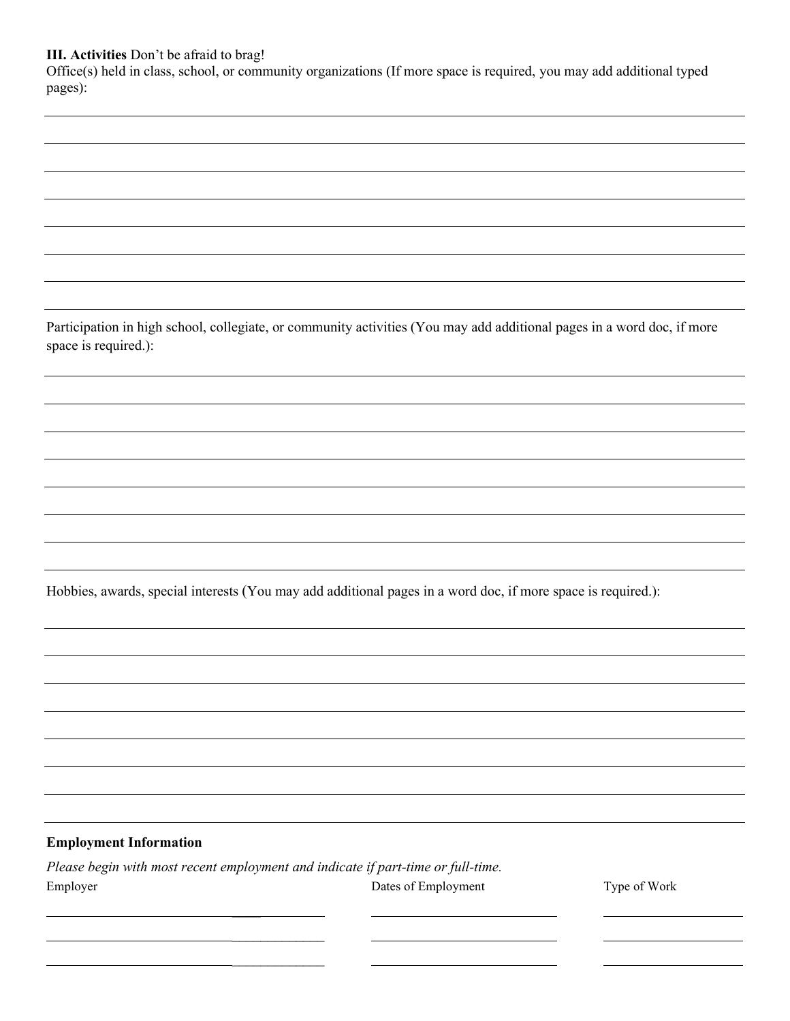#### **III. Activities** Don't be afraid to brag!

Office(s) held in class, school, or community organizations (If more space is required, you may add additional typed pages):

Participation in high school, collegiate, or community activities (You may add additional pages in a word doc, if more space is required.):

Hobbies, awards, special interests (You may add additional pages in a word doc, if more space is required.):

#### **Employment Information**

|          | Please begin with most recent employment and indicate if part-time or full-time. |
|----------|----------------------------------------------------------------------------------|
| Employer | Dates of Employment                                                              |

 $\frac{1}{2}$  $\frac{1}{2}$ 

 $\overline{\phantom{a}}$ 

Type of Work